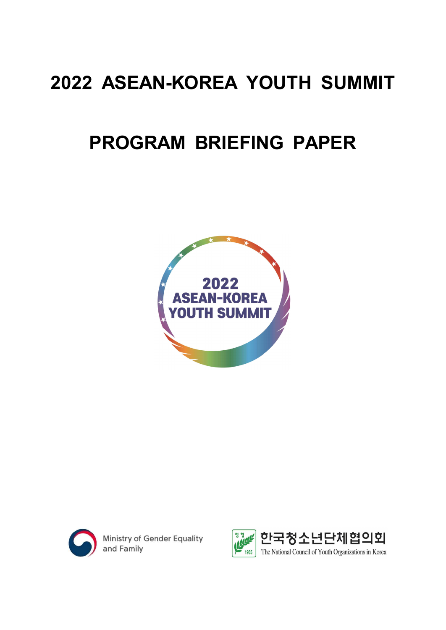# **2022 ASEAN-KOREA YOUTH SUMMIT**

# **PROGRAM BRIEFING PAPER**





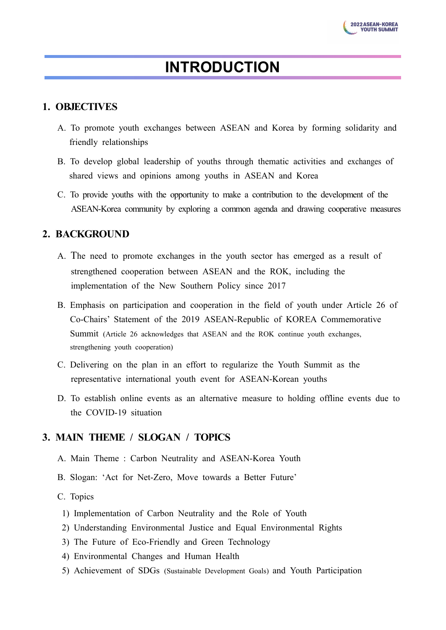# **INTRODUCTION**

# **1. OBJECTIVES**

- A. To promote youth exchanges between ASEAN and Korea by forming solidarity and friendly relationships
- B. To develop global leadership of youths through thematic activities and exchanges of shared views and opinions among youths in ASEAN and Korea
- C. To provide youths with the opportunity to make a contribution to the development of the ASEAN-Korea community by exploring a common agenda and drawing cooperative measures

# **2. BACKGROUND**

- A. The need to promote exchanges in the youth sector has emerged as a result of strengthened cooperation between ASEAN and the ROK, including the implementation of the New Southern Policy since 2017
- B. Emphasis on participation and cooperation in the field of youth under Article 26 of Co-Chairs' Statement of the 2019 ASEAN-Republic of KOREA Commemorative Summit (Article 26 acknowledges that ASEAN and the ROK continue youth exchanges, strengthening youth cooperation)
- C. Delivering on the plan in an effort to regularize the Youth Summit as the representative international youth event for ASEAN-Korean youths
- D. To establish online events as an alternative measure to holding offline events due to the COVID-19 situation

# **3. MAIN THEME / SLOGAN / TOPICS**

- A. Main Theme : Carbon Neutrality and ASEAN-Korea Youth
- B. Slogan: 'Act for Net-Zero, Move towards a Better Future'
- C. Topics
- 1) Implementation of Carbon Neutrality and the Role of Youth
- 2) Understanding Environmental Justice and Equal Environmental Rights
- 3) The Future of Eco-Friendly and Green Technology
- 4) Environmental Changes and Human Health
- 5) Achievement of SDGs (Sustainable Development Goals) and Youth Participation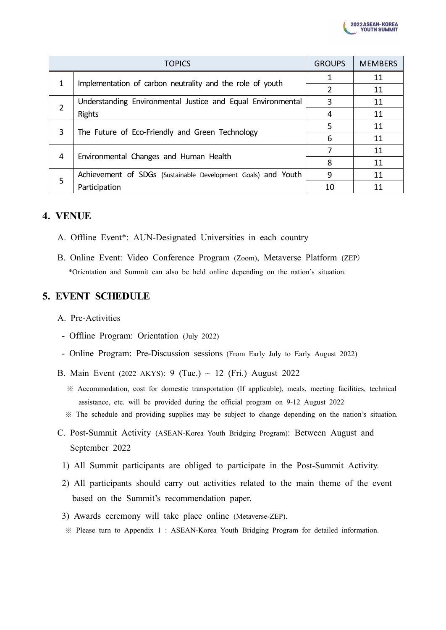

|   | <b>TOPICS</b>                                                 | <b>GROUPS</b> | <b>MEMBERS</b> |
|---|---------------------------------------------------------------|---------------|----------------|
|   | Implementation of carbon neutrality and the role of youth     |               | 11             |
|   |                                                               |               | 11             |
| 2 | Understanding Environmental Justice and Equal Environmental   |               | 11             |
|   | Rights                                                        | 4             | 11             |
| 3 | The Future of Eco-Friendly and Green Technology               | 5             | 11             |
|   |                                                               | 6             | 11             |
| 4 |                                                               |               | 11             |
|   | Environmental Changes and Human Health                        | 8             | 11             |
| 5 | Achievement of SDGs (Sustainable Development Goals) and Youth | 9             | 11             |
|   | Participation                                                 | 10            | 11             |

# **4. VENUE**

- A. Offline Event\*: AUN-Designated Universities in each country
- B. Online Event: Video Conference Program (Zoom), Metaverse Platform (ZEP) \*Orientation and Summit can also be held online depending on the nation's situation.

# **5. EVENT SCHEDULE**

- A. Pre-Activities
- Offline Program: Orientation (July 2022)
- Online Program: Pre-Discussion sessions (From Early July to Early August 2022)
- B. Main Event (2022 AKYS): 9 (Tue.) ~ 12 (Fri.) August 2022
	- ※ Accommodation, cost for domestic transportation (If applicable), meals, meeting facilities, technical assistance, etc. will be provided during the official program on 9-12 August 2022
	- ※ The schedule and providing supplies may be subject to change depending on the nation's situation.
- C. Post-Summit Activity (ASEAN-Korea Youth Bridging Program): Between August and September 2022
	- 1) All Summit participants are obliged to participate in the Post-Summit Activity.
- 2) All participants should carry out activities related to the main theme of the event based on the Summit's recommendation paper.
- 3) Awards ceremony will take place online (Metaverse-ZEP).
- ※ Please turn to Appendix 1 : ASEAN-Korea Youth Bridging Program for detailed information.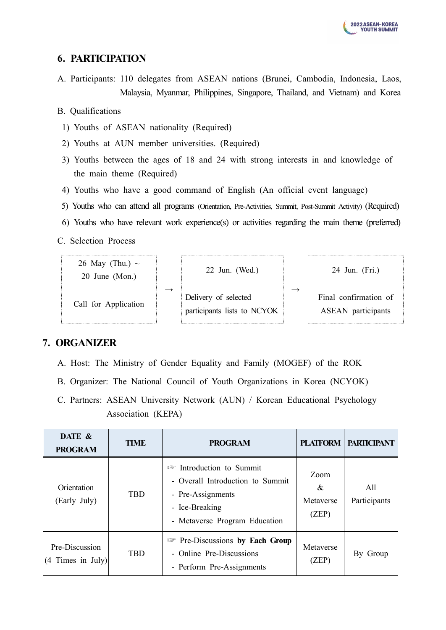# **6. PARTICIPATION**

A. Participants: 110 delegates from ASEAN nations (Brunei, Cambodia, Indonesia, Laos, Malaysia, Myanmar, Philippines, Singapore, Thailand, and Vietnam) and Korea

### B. Qualifications

- 1) Youths of ASEAN nationality (Required)
- 2) Youths at AUN member universities. (Required)
- 3) Youths between the ages of 18 and 24 with strong interests in and knowledge of the main theme (Required)
- 4) Youths who have a good command of English (An official event language)
- 5) Youths who can attend all programs (Orientation, Pre-Activities, Summit, Post-Summit Activity) (Required)
- 6) Youths who have relevant work experience(s) or activities regarding the main theme (preferred)

C. Selection Process



# **7. ORGANIZER**

- A. Host: The Ministry of Gender Equality and Family (MOGEF) of the ROK
- B. Organizer: The National Council of Youth Organizations in Korea (NCYOK)
- C. Partners: ASEAN University Network (AUN) / Korean Educational Psychology Association (KEPA)

| DATE &<br><b>PROGRAM</b>              | <b>TIME</b> | <b>PROGRAM</b>                                                                                                                             | <b>PLATFORM</b>                 | <b>PARTICIPANT</b>  |
|---------------------------------------|-------------|--------------------------------------------------------------------------------------------------------------------------------------------|---------------------------------|---------------------|
| Orientation<br>(Early July)           | <b>TBD</b>  | Introduction to Summit<br>I și<br>- Overall Introduction to Summit<br>- Pre-Assignments<br>- Ice-Breaking<br>- Metaverse Program Education | Zoom<br>&<br>Metaverse<br>(ZEP) | All<br>Participants |
| Pre-Discussion<br>$(4$ Times in July) | <b>TBD</b>  | <b>Example 3</b> Pre-Discussions by Each Group<br>- Online Pre-Discussions<br>- Perform Pre-Assignments                                    | Metaverse<br>(ZEP)              | By Group            |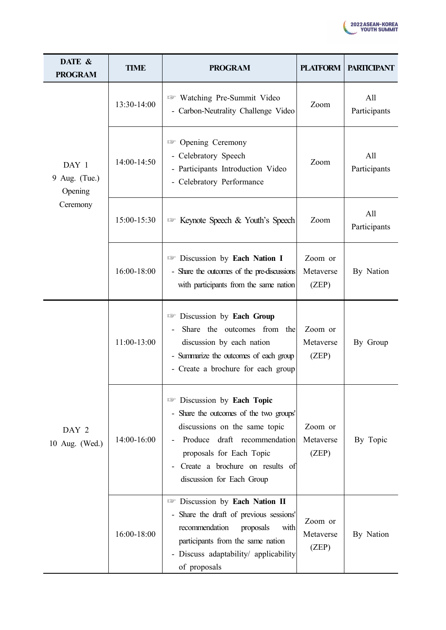

| DATE &<br><b>PROGRAM</b>          | <b>TIME</b> | <b>PROGRAM</b>                                                                                                                                                                                                                   | <b>PLATFORM</b>               | <b>PARTICIPANT</b>  |
|-----------------------------------|-------------|----------------------------------------------------------------------------------------------------------------------------------------------------------------------------------------------------------------------------------|-------------------------------|---------------------|
|                                   | 13:30-14:00 | <b>Watching Pre-Summit Video</b><br>- Carbon-Neutrality Challenge Video                                                                                                                                                          | Zoom                          | All<br>Participants |
| DAY 1<br>9 Aug. (Tue.)<br>Opening | 14:00-14:50 | Opening Ceremony<br>v<br>- Celebratory Speech<br>- Participants Introduction Video<br>- Celebratory Performance                                                                                                                  | Zoom                          | All<br>Participants |
| Ceremony                          | 15:00-15:30 | <b>Example Speech &amp; Youth's Speech</b>                                                                                                                                                                                       | Zoom                          | All<br>Participants |
|                                   | 16:00-18:00 | Discussion by Each Nation I<br>- Share the outcomes of the pre-discussions<br>with participants from the same nation                                                                                                             | Zoom or<br>Metaverse<br>(ZEP) | By Nation           |
|                                   | 11:00-13:00 | <b>Example 15 Discussion by Each Group</b><br>Share the outcomes from the<br>discussion by each nation<br>- Summarize the outcomes of each group<br>- Create a brochure for each group                                           | Zoom or<br>Metaverse<br>(ZEP) | By Group            |
| DAY 2<br>10 Aug. (Wed.)           | 14:00-16:00 | Discussion by Each Topic<br>- Share the outcomes of the two groups'<br>discussions on the same topic<br>Produce draft recommendation<br>proposals for Each Topic<br>Create a brochure on results of<br>discussion for Each Group | Zoom or<br>Metaverse<br>(ZEP) | By Topic            |
|                                   | 16:00-18:00 | <sup>1</sup> Discussion by Each Nation II<br>Share the draft of previous sessions'<br>recommendation<br>proposals<br>with<br>participants from the same nation<br>- Discuss adaptability/ applicability<br>of proposals          | Zoom or<br>Metaverse<br>(ZEP) | By Nation           |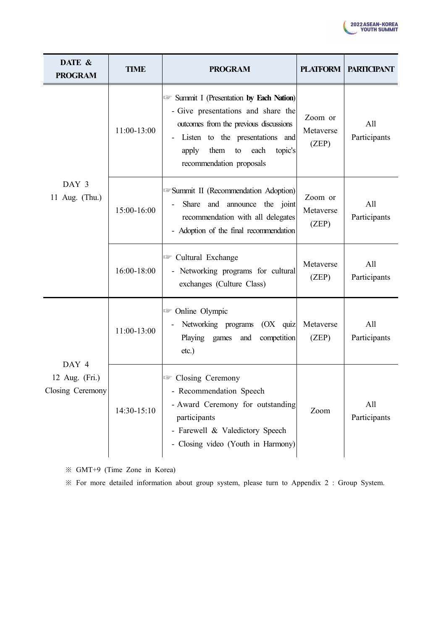

| DATE &<br><b>PROGRAM</b>                    | <b>TIME</b>   | <b>PROGRAM</b>                                                                                                                                                                                                                                    | <b>PLATFORM</b>               | <b>PARTICIPANT</b>  |
|---------------------------------------------|---------------|---------------------------------------------------------------------------------------------------------------------------------------------------------------------------------------------------------------------------------------------------|-------------------------------|---------------------|
|                                             | 11:00-13:00   | Summit I (Presentation by Each Nation)<br>- Give presentations and share the<br>outcomes from the previous discussions<br>Listen to the presentations and<br>$\blacksquare$<br>them<br>topic's<br>apply<br>to<br>each<br>recommendation proposals | Zoom or<br>Metaverse<br>(ZEP) | All<br>Participants |
| DAY 3<br>11 Aug. (Thu.)                     | 15:00-16:00   | Summit II (Recommendation Adoption)<br>Zoom or<br>Share and announce the joint<br>Metaverse<br>recommendation with all delegates<br>(ZEP)<br>- Adoption of the final recommendation                                                               |                               | All<br>Participants |
|                                             | 16:00-18:00   | <b>Exchange</b> Cultural Exchange<br>- Networking programs for cultural<br>exchanges (Culture Class)                                                                                                                                              | Metaverse<br>(ZEP)            | All<br>Participants |
|                                             | 11:00-13:00   | <b>Solution</b> Olympic<br>Networking programs (OX quiz<br>Playing games<br>competition<br>and<br>etc.)                                                                                                                                           | Metaverse<br>(ZEP)            | All<br>Participants |
| DAY 4<br>12 Aug. (Fri.)<br>Closing Ceremony | $14:30-15:10$ | <b>Example 2</b> Closing Ceremony<br>- Recommendation Speech<br>- Award Ceremony for outstanding<br>participants<br>- Farewell & Valedictory Speech<br>- Closing video (Youth in Harmony)                                                         | Zoom                          | All<br>Participants |

※ GMT+9 (Time Zone in Korea)

※ For more detailed information about group system, please turn to Appendix 2 : Group System.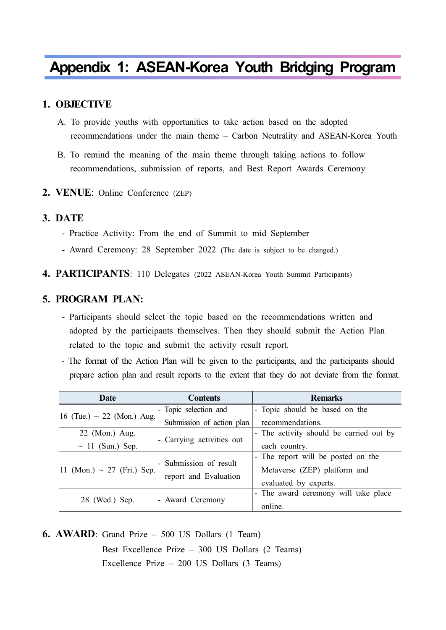# **Appendix 1: ASEAN-Korea Youth Bridging Program**

### **1. OBJECTIVE**

- A. To provide youths with opportunities to take action based on the adopted recommendations under the main theme – Carbon Neutrality and ASEAN-Korea Youth
- B. To remind the meaning of the main theme through taking actions to follow recommendations, submission of reports, and Best Report Awards Ceremony

#### **2. VENUE**: Online Conference (ZEP)

#### **3. DATE**

- Practice Activity: From the end of Summit to mid September Award Ceremony: 28 September 2022 (The date is subject to be changed.)
- 
- **4. PARTICIPANTS**: 110 Delegates (2022 ASEAN-Korea Youth Summit Participants)

### **5. PROGRAM PLAN:**

- Participants should select the topic based on the recommendations written and adopted by the participants themselves. Then they should submit the Action Plan related to the topic and submit the activity result report. - The format of the Action Plan will be given to the participants, and the participants should
- prepare action plan and result reports to the extent that they do not deviate from the format.

| <b>Date</b>                     | <b>Contents</b>           | <b>Remarks</b>                          |  |
|---------------------------------|---------------------------|-----------------------------------------|--|
| 16 (Tue.) $\sim$ 22 (Mon.) Aug. | - Topic selection and     | - Topic should be based on the          |  |
|                                 | Submission of action plan | recommendations.                        |  |
| 22 (Mon.) Aug.                  |                           | - The activity should be carried out by |  |
| $\sim$ 11 (Sun.) Sep.           | - Carrying activities out | each country.                           |  |
|                                 | - Submission of result    | - The report will be posted on the      |  |
| 11 (Mon.) ~ 27 (Fri.) Sep.      |                           | Metaverse (ZEP) platform and            |  |
|                                 | report and Evaluation     | evaluated by experts.                   |  |
|                                 |                           | - The award ceremony will take place    |  |
| 28 (Wed.) Sep.                  | - Award Ceremony          | online.                                 |  |

**6. AWARD**: Grand Prize – 500 US Dollars (1 Team) Best Excellence Prize – 300 US Dollars (2 Teams) Excellence Prize – 200 US Dollars (3 Teams)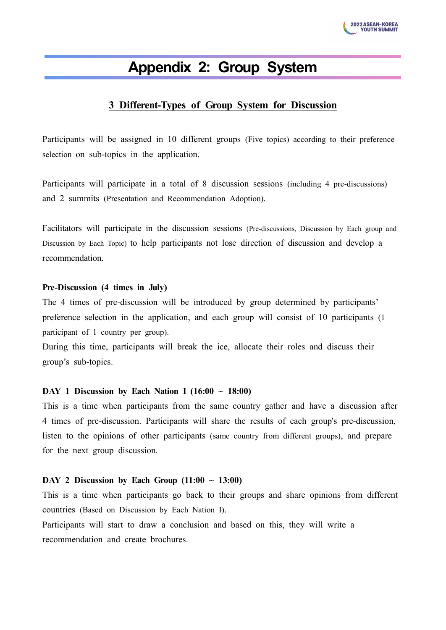

# **Appendix 2: Group System**

## **3 Different-Types of Group System for Discussion**

Participants will be assigned in 10 different groups (Five topics) according to their preference selection on sub-topics in the application.

Participants will participate in a total of 8 discussion sessions (including 4 pre-discussions) and 2 summits (Presentation and Recommendation Adoption).

Facilitators will participate in the discussion sessions (Pre-discussions, Discussion by Each group and Discussion by Each Topic) to help participants not lose direction of discussion and develop a recommendation.

#### **Pre-Discussion (4 times in July)**

The 4 times of pre-discussion will be introduced by group determined by participants' preference selection in the application, and each group will consist of 10 participants (1 participant of 1 country per group).

During this time, participants will break the ice, allocate their roles and discuss their group's sub-topics.

#### **DAY 1 Discussion by Each Nation Ⅰ (16:00 ~ 18:00)**

This is a time when participants from the same country gather and have a discussion after 4 times of pre-discussion. Participants will share the results of each group's pre-discussion, listen to the opinions of other participants (same country from different groups), and prepare for the next group discussion.

#### DAY 2 Discussion by Each Group  $(11:00 \sim 13:00)$

This is a time when participants go back to their groups and share opinions from different countries (Based on Discussion by Each Nation Ⅰ).

Participants will start to draw a conclusion and based on this, they will write a recommendation and create brochures.